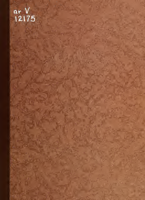# ar V<br>12175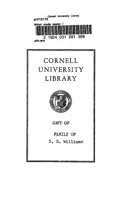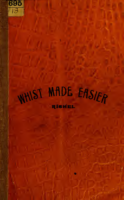

# WHIST MADE EASIER RISHEL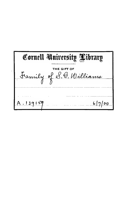Cornell University Library THE GIFT OF<br>y of S. G. Williams Framil  $6|7|00$  $3<sup>o</sup>$  $5<sup>2</sup>$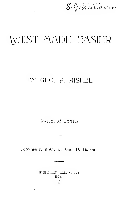S.G. Milliaus.

# WHIST MADE EASIER

### BY GEO. P. RISHEL

PRICE, 35 CENTS

COPYRIGHT, 1895. BY GEO. P. RISHEL

H<sub>2</sub>RNELLSVILLE, N.Y.: 1895.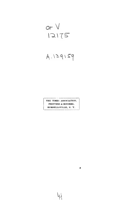$arV$ <br> $12175$ 

### $A.139159$

THE TIMES ASSOCIATION. PRINTERS A BINDERS. HORNELLSVILLE, N. Y.

w

 $\bullet$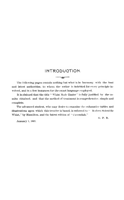### INTRODUCTION.  $\overline{\phantom{a}}$

The following pages contain nothing but what is in harmony with the best and latest authorities, to whom the writer is indebted for every principle involved, and in a few instances for the exact language employed.

It is claimed that the title "Whist Made Easier" is fully justified by the results obtained, and that the method of treatment is comprehensive, simple and complete.

The advanced student, who may desire to examine the exhaustive tables and illustrations upon which this treatise is based, is referred to " Modern Scientific Whist," by Hamilton, and the latest edition of "Cavendish."

G. P. R.

January 1, 1895.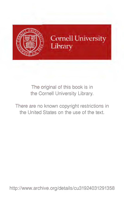

Cornell University Library

The original of this book is in the Cornell University Library.

There are no known copyright restrictions in the United States on the use of the text.

http://www.archive.org/details/cu31924031291358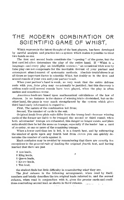### THE MODERN GOMBINRTION OR SeiENTlFIG GAME OF WHIST,

Which represents the latest thought of the best players, has been developed by careful analysis and practice into a system which makes it possible to treat two liands as one.

The first and second leads constitute the "opening" of the game, but the first card led often determines the play of the entire hand. If "Whist is  $\mu$ language—and every play an intelligible sentence." an occasional trick won by false play can not compensate for the inevitable distrust of your partner and consequent abandonment of systematic methods. Absolute truthfulness is at all times an important factor in scientific Whist, but doubly so in the first and second rounds of your own and your partner's suit.

When your partner's hand is weak, so very weak that the entire defense rests with you,  $false$  play may occasionally be justified; but this discovery is seldom made until several rounds have been played, when the play is often useless and sometimes worse.

American leads are based upon mathamatical calculations of the law of chances. In no instance is the chance of winning tricks diminished, but on the other hand, the game is very much strengthened by the system which gives third hand early information in regard to :

First, The nature of the combination led from;

Second, The number of cards in the suit.

 $Original \ leads$  from plain suits differ from the trump lead—because winning cards of the former are liable to be trumped the second or third round; when both adversaries' trumps are exhausted, this danger no longer exists, and plain suits should then be led the same as trumps, especially if the leader has a card of re-entry, or one or more of the remaining trumps.

When a lower card than ten is led, it is a fourth best, and by subtracting the number of spots upon any fourth best from eleven you can quickly de termine the number of cards against it.

Much confusion may be avoided by remembering that there are exactly ten exceptions to the general rule of leading the original fourth best, and having learned that there are just

2 Ace leads,

- 2 King leads,
- 3 Queen leads,
- <sup>2</sup> Knave leads,
- <sup>1</sup> Ten lead,

the student finds but little difficulty in remembering what they are.

The *first column* in the following arrangement, when read by itself, numbers and briefly describes the ten original leads referred to, and the second column., when read in conjunction with it, gives the precise cards and conditions controlling second lead, as shown in third column.  $\ldots$ 

j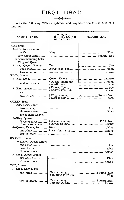### FIRST HAND.

 $\sim$ 

 $\longrightarrow \sum_{i=1}^n \sum_{j=1}^n \sum_{j=1}^n \sum_{j=1}^n \sum_{j=1}^n \sum_{j=1}^n \sum_{j=1}^n \sum_{j=1}^n \sum_{j=1}^n \sum_{j=1}^n \sum_{j=1}^n \sum_{j=1}^n \sum_{j=1}^n \sum_{j=1}^n \sum_{j=1}^n \sum_{j=1}^n \sum_{j=1}^n \sum_{j=1}^n \sum_{j=1}^n \sum_{j=1}^n \sum_{j=1}^n \sum_{j=1}^n \sum_{j=1}^n \sum_{j=1}^n \sum$ 

With the following. TEN exceptions, lead originally the fourth best of a long suit.

| ORIGINAL LEAD.                                                             | CARDS, ETC.,<br>CONTROLLING<br><b>SECOND LEAD.</b> | SECOND LEAD.                                           |  |
|----------------------------------------------------------------------------|----------------------------------------------------|--------------------------------------------------------|--|
| $\rm{ACE}, from—$                                                          |                                                    |                                                        |  |
| 1—Ace, four or more,<br>with<br>or without King,<br>but not including both |                                                    |                                                        |  |
| King and Queen.<br>2-Ace, Queen, Knave<br>one other,                       |                                                    |                                                        |  |
| $two$ or more<br>KING, from-                                               |                                                    |                                                        |  |
| 1—Ace, King                                                                |                                                    | Queen, Knave      Knave                                |  |
| and two others                                                             | $\delta$ small ones                                | $\{Queen, small one   \dots \dots \dots \dots Queen\}$ |  |
| 2-King, Queen,<br>and                                                      |                                                    |                                                        |  |
| $two$ others                                                               |                                                    |                                                        |  |
| QUEEN, from-                                                               |                                                    |                                                        |  |
| 1-Ace, King, Queen,                                                        |                                                    |                                                        |  |
|                                                                            |                                                    |                                                        |  |
|                                                                            |                                                    |                                                        |  |
| lower than Knave.                                                          |                                                    |                                                        |  |
| $2$ -King, Queen,                                                          |                                                    |                                                        |  |
| three or more<br>lower than Knave.                                         |                                                    |                                                        |  |
| 3-Queen, Knave, Ten,                                                       |                                                    |                                                        |  |
| one other, $\ldots$ , $\ldots$ , $\ldots$                                  |                                                    | lower than Nine   Knave                                |  |
| $two or more \dots$                                                        |                                                    |                                                        |  |
| KNAVE, from—                                                               |                                                    |                                                        |  |
| 1-Ace, King, Queen, Knave                                                  |                                                    |                                                        |  |
|                                                                            |                                                    |                                                        |  |
| three or more                                                              |                                                    |                                                        |  |
| 2-King, Queen, Knave,                                                      |                                                    |                                                        |  |
|                                                                            |                                                    |                                                        |  |
| TEN, from—                                                                 |                                                    |                                                        |  |
| 1-King, Knave, Ten,                                                        |                                                    |                                                        |  |
|                                                                            |                                                    |                                                        |  |
| two or more                                                                |                                                    |                                                        |  |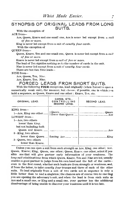### SYNOPSIS OF ORIGINAL LEADS FROM LONG SUITS.

With the exception of

ACE <sup>f</sup>rom—

Ace, Queen, Knave and one small one, Ace is never led except from a suit df five or more.

King is never led except from a suit of exactly four cards.

With the exception of

QUEEN from—

Queen, Knave, Ten and one small one, Queen is never led except from a suit of five or more.

Knave is never led except from a suit of five or more.

The lead of Ten signifies nothing as to the number of cards in the suit.

Nine is never led except from a suit of exactly four cards.

There are but two Nine leads—

NINE from—

Ace, Queen, Ten, Nine.

Ace, Knave, Ten, Nine.<br>FORGED LEADS FROM SHORT SUITS.

With the following **FOUR** exceptions, lead originally (when forced to open a numerically weak suit), the HIGHEST, but choose, if possible, one in which you hold a sequence, as Queen, Knave and one other ; Knave, Ten, etc.

| ORIGINAL LEAD.                                                           | CARDS, ETC.,<br>CONTROLLING<br>SECOND LEAD. | SECOND LEAD. |
|--------------------------------------------------------------------------|---------------------------------------------|--------------|
| KING from-<br>1-Ace, King one other<br>LOWEST from-<br>1-Ace, two others |                                             |              |
| lower than King.<br>but not including both                               |                                             |              |
| 2-King, two others<br>.3—Queen, two others<br>lower than Knave.          |                                             | King         |

Unless you can open a suit from such strength as Ace, King, one other; Ace. Queen, Knave; King, Queen, one other; Queen, Knave, one other, select if possible one that will give partner early information of your weakness. The long suit combinations from which Queen, Knaye, Ten and Nine are led, usually enables a good partner to judge from his own hand and the fall of the cardseven in the first round, whether such leads are from strength or weakness, and, if from the latter, to infer exactly four trumps and three of each of the other suits. To lead originally from a suit of two cards not in sequence is only a little better than to lead a singleton; the chances are of course two to one that you are opening the adversary's suit, and when the lead is from such suits as Ace and a small one, or King and a small one, your partner has the additional disadvantage of being unable to discover your weakness until it is too late.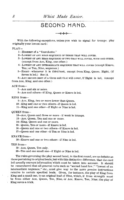### SECOND HAND.  $\rightarrow$   $\leftrightarrow$  where  $\leftarrow$

With the following exceptions, unless you wish to signal for trumps, play originally your lowest card

PLAY—

1 Highest of a "fourchette.''

- 2 Lowest op any head sequence of three that will cover.
- 3 Lowest of any head sequence of two that will cover, with one other, (except from Ace, King, one other.)
- 4 Lowest of any intermediate sequence that will cover (except Knave, Ten; or Ten, Nine, sequence.)
- 5 Eight—whenever it is third best, except from King, Queen, Eight, (if Seven is led.) See 14.

6 Any second best of a three suit that will cover, if Eight is led, fexcept from Ace, King, and one other.)

### ACE <sup>f</sup>rom—

<sup>7</sup>—Ace and six or more.

8-Ace and others-if King, Queen or Knave is led.

KING from—

9-Ace, King, two or more lower than Queen.

10~King and one or two others—if Queen is led.

11—King and one other—if Eight or Nine is led.

QUEEN from—

12—Ace, Queen and three or more—if weak in trumps.

<sup>13</sup>—Ace, Queen, Ten and one or more.

<sup>14</sup>—King, Queen and one or more.

15—Queen, Ten or more—if Knave is led.

16—Queen and one or two others—if Knave is led.

17—Queen and one other—if Ten or Nine is led.

KNAVE <sup>f</sup>rom—

18—Knave and one or two others—if Nine is led.

### TEN from—

<sup>19</sup>—Ace, Queen, Ten only.

20—Ten and one small one—if Eight or Nine is led.

The rules governing the play second hand, in the first round, are as definite as those pertaining to original leads, but with this distinctive difference, that the card led usually conveys information which must be taken into account. It should be remembered that all general rules such as "second hand low." "lowest of an intermediate sequence," etc., must give way to the more precise instructions relative to certain specified leads. Given, for instance, the play of King from King and a small one, to an original lead of Nine, which, if from strength  $must$ be from either Ace, Queen, Ten, Nine, or Ace, Knave, Ten, Nine; the play of King saves a trick.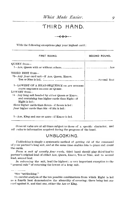### THIRD HAND.

**◆◆☆☆☆**←

With the following exceptions play your highest card :

| FIRST ROUND.                                                                                                                      | <b>SECOND ROUND.</b> |  |
|-----------------------------------------------------------------------------------------------------------------------------------|----------------------|--|
| QUEEN from-                                                                                                                       |                      |  |
|                                                                                                                                   |                      |  |
| THIRD BEST from—                                                                                                                  |                      |  |
| *2-Any four card suit-if Ace, Queen, Knave,                                                                                       |                      |  |
|                                                                                                                                   |                      |  |
| 3-LOWEST OF A HEAD SEQUENCE OR ANY INTERME-<br>DIATE SEQUENCE HEADED BY QUEEN.                                                    |                      |  |
| LOWEST from-                                                                                                                      |                      |  |
| <sup>†4</sup> - Any long suit headed by either Queen or Knave.<br>and containing two higher cards than Eight--if<br>Eight is led: |                      |  |
| three higher cards than Seven--if Seven is led:                                                                                   |                      |  |
| four higher cards than Six-if Six is led;                                                                                         |                      |  |
| 5--Ace, King and one or more-if Knave is led.                                                                                     |                      |  |

General rules are at all times subject to those of a specific character, and  $all$  rules to information acquired during the progress of the hand.

### UNBLOCKING.

Unblocking is simply a systematic method of getting rid of the command of your partner's long suit, and at the same time enables him to place and count the cards.

From  $\alpha$  suit of exactly four cards, third hand should play third best to partner's original lead of either Ace, Queen, Knave, Ten or Nine, and to second lead, second best.

In returning the suit, lead the highest ; a very important exception to the " general rule "' of returning the lowest of a long suit.

\*See "unblocking."

i'A careful analysis of the ten possible combinations from which Eight is led as a fourth best demonstrates the absurdity of covering; there being but one card against it, and that one, either the Ace or King.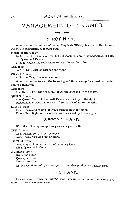### MANAGEMENT OF TRUMPS.

... >>>>

FIRST HAND.

When a trump is not turned, as in "Duplicate Whist," lead, with the follow ing FOUR exceptions, as in plain suits

FOURTH BEST from—

 $1-\text{Acc}$  and five others, or less, but not including both King and Queen, or both Queen and Knave.

2-King, Queen and four others or less,-lower than Ten.

### ACE from—

3—Ace, King with or without one other.

KNAVE from—

i—Knave, Ten, Nine one or more.

When a trump is turned, the following additional exceptions must be made, and you then lead

#### ACE from—

Ace. Knave, Ten, Nine or more—if Queen is turned up to the left.

#### QUEEN from—

Ace, Queen, Ten and others—if Knave is turned up to the right. Queen, Knave, Nine and others—if Ten is turned up to the right.

KNAVE from—

King, Knave and others—if Ten is turned up to the right. Knave, Ten, Eight and others—if Nine is turned up to the right.

### SEGOMD HAND,

With the following exceptions play as in plain suits :

#### TEN From—

Ace, Queen, Ten and one or more. Ace, Knave. Ten and one or more.

LOWEST from—

Ace, King and one or more, not including Queen. King, Queen and others.

### HIGHEST from-

King, one other. Queen, one other. Knave, one other.

In the second round of trumps you do not always play the master card.

### THIRD HAND.

Finesse more deeply in Trumps than in plain suits, but not in the FIRST ROUND TO YOUR PARTNER'S LEAD.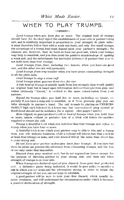### WHEN TO PLAY TRUMPS.

 $\cdots \geq \geq \geq \cdots$ 

Lead trumps when you have five or more. The original lead of trumps should have for its *chief object* the establishment of your own or partner's long suit, and is relatirely important in proportion to your strength in plain suits : it must therefore follow that with a weak suit hand, and only five small trumps, the advantage of a trump lead must depend upon your partner's strength; the chances are, however, that he holds at least one good suit, which your trumps may help to establish, and you thus avoid the positive disadvantage of opening a weak suit, and the unfortunate but inevitable inference of partner that you do not hold more than four trumps.

Lead trumps from four, including twn honors, when you have one good suit, and the other two are well protected^

Lead trumps from any number when you have great commanding strength in all the plain suits.

Lead trumps to stop a cross ruff.

Lead trumps when you can draw two-for one.<br>A late lead of trumps is usually made from less strength than would justify an original lead, but is based upon information derived from previous play, and unless obviously "forced," is entitled to the same consideration from your partner.

Signal for trumps when you hold five or more, including an honor, especially if you have a long suit to establish, or if from previous play you can infer strength in partner's hand. The call is made by playing an UNNECES- SARILY high card followed by a lower one, but conventional play second or third hand should not be mistaken for a signal. (See pages  $8$  and  $9$ .)

Echo (signal) to your partner's call or lead of trumps when you hold four or more, unless evident or probable loss of a trick will follow the sacrifice required to return the call.

Trump a doubtful trick when you hold less than four trumps and refuse to trump when you have four or more.

A doubtful trick is one which your partner may be able to win, and <sup>a</sup> trump from you will indicate weakness, while a *refusal* will inform him that you hold at least four trumps or none, and your *discard* will at the same time direct him to your strong suit.

Do not force your partner unless you have four trumps. If you have but three he alone can prevent the adversary from exhausting trumps, and the loss of one may make that impossible.

Discard from your weakest suit, but do not unguard an honor except for the purpose of directing partner to your strong suit, and then only when strength of trumps is on your side.

When trumps are declared against ynu. discard from your best protected suit. A defensive game being indicated, it would be poor policy to sacrifice a suit in which you are weak and the adversaries strong, in order to retain the original strength of one you can not hope to establish.

A good partner will be sure to note your first discard, which usually de notes wealmess, and will understand the circumstances under which it becomes a positive declaration of strength.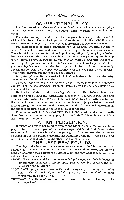### GONUENTIONAL PLAY.

The "conversation of the game" is a result of systematic conventional play, and enables two partners who understand Whist language to combine their forces.

The entire strength of the Combination game depends upon the accuracy with which information can be imparted, absolute faith in the reliability and truthfulness of partner, and the harmonious treatment of two hands as one.

The maintenance of these conditions are at all times essential, but the so called "iron rules" have sufficient elasticity to provide for every emergency. There is but little room for *individual* opinion regarding *original play*, whether from first, second, third or fourth hand, mathematicians and experts having settled these things, according to the law of chances, and with the view of conveying the greatest amount of information ; but knowledge acquired by previous play is almost from the first a potent factor, and must necessarily govern and control, to be in strict conformity with the very rules which careless or unskillful interpreters insist are not in harmony.

Irregular play is often unavoidable, but should, always be conventionally irregular, and therefore informatory.

There is indeed no place in the system for any kind of play that will deceive partner, but on the contrary, when in doubt, select the one most likely to be understood by him.

Having learned the art of conveying information, the student should ac\_ quire the habit of carefully scrutinizing each play with a view of receiving and analyzing what others have to tell. Your own hand, together with the fall of the cards in the first round, will usually enable you to judge whether the lead is from strength or weakness, and the second round will aid you in determining the exact combination and the number of cards in the suit.

Familiarity with Conventional play, second and third hand, coupled with close observation, converts every play into an "intelligible sentence" which is easily read and understood.<br>
WHIST PERCEPTION.

Information derived not so much from what has as from what has not been played, forms no small part of the evidence upon which a skillful player is able to count and place the cards, and although negative in character, often becomes as important as the positive declarations resulting from authorized play, and<br>a justification of that which might otherwise appear irregular.

### THE LAST FEW ROUNDS.

The play in the last few rounds resembles a game of "double dummy," inasmuch as the location and size of most of the remaining cards are known ; Conventional play may therefore be almost if not entirely abandoned, and you will then have to consider

- $\texttt{FIRST--The}$  number and location of remaining trumps, and their influence in determining the necessity for promptly playing winning cards while the adversary can follow suit.
- SECOND—The proper discard—sometimes throwing away a winning card of a suit which will certainly not be led to you, to protect one of inferior rank which may thus take a trick.
- THIRD—Placing the lead, so. that the adversary is forced to lead up to the stronger hand.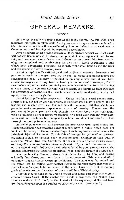### GENERAL REMARKS.

…→>≍≈

 $Return your partner's trump lead$  at the first opportunity, but with even moderate strength in plain suits lead your own strong suit before returning his. Failure to do this will be considered by him as indicative of weakness in the other suits and his play will be regulated accordingly.

Force  $a$  strong hand of the adversary. If trumps are against you, high cards will not win tricks, unless the strong trump hand of your opponent can follow suit, and you can make no better use of them than to prevent him from contin uing the trump lead and establishing his own suit. Avoid continuing a suit which both adversaries renounce, as it enables the weak hand to win the trick and the strong to discard a losing card.

Avoid changing suits without good and sufficient reasons. Because your partner is weak in the first suit led by you, is rarely a sufficient reason for changing the lead. You may be justified in opening a new suit, if you have reason to suspect a trump from a hand you do not want to force, or, if with two moderately strong suits, you find your partner weak in the first : but having a weak hand, if you can not win tricks yourself, you should at least give him the advantage of having a suit in which he may be only moderately strong led up to, rather than through him.

Avoid leading the adversary's suit. Unless you have great commanding strength in a suit led by your adversary, it is seldom good play to return it ; by leading the master card you lose not only the command, but that which may prove to be of even greater importance, a card of re-entry. Having won the first round in your partner's suit cheaply, or if you have a very weak hand, with no indication of your partner's strength, or if both your own and your part ner's suit are liable to be trumped by a hand you do not want to force, lead through but not up to an adversary.

Establish your oion suit and prevent the adversary from establishing his. When established, the remaining cards of <sup>a</sup> suit have <sup>a</sup> value which does not intrinsically belong to them, an advantage of such importance as to make it the principal object of the game. To gain this advantage for yourself or partner, or, failing in this, to prevent your opponents from bringing in their suit, is scientific Whist, GET RID, therefore, of the command of your partner's suit, and keep the command of the adversary's suit. If you hold the master card, or the second  $and$  third best in a suit originally led by your partner, return the highest, otherwise the *lowest* of an original *four*, and the *highest* of a *three* suit.

Your partner is presumably strong in the suit selected by him, and having originally but three, you contribute to its ultimate establishment, and afford valuable information by returning the highest. The hand may be ruined and the game lost by telling your partner (through Improper play) that you hold four when in fact you hold but three of the suit. Thus with 6, 5, remaining (,ards after first round, the return of the 5 would be a Whist atrocity.

Play the master card in the second round of a plain suit from either first, second or third hand. If the master card heads a sequence, the proper play from second or third hand, is the lowest of the sequence, but the lead from first hand depends upon the number of cards in the suit, (see page 6.)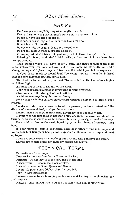### MAXIMS.

Uniformity and simplicity impart strength to a rule.

Keep at least one of your partner's strong suit to return to him.

Do not always discard a singleton.

It is dangerous to unguard an honor or blank an Ace.

Do not lead a thirteenth.

Do not mistake an original lead for a forced one.

Do not fail to note when a discard is forced.

Trumping a doubtful trick tells partner you hold three trumps or less.

Refusing to trump a doubtful trick tells partner you hold at least four trumps or none.

Lead trumps when you have exactly four, and three of each of the plain suits, unless you can open a three suit of commanding strength, or lead a strengthening and *informatory* card from a suit in which you hold a sequence.

 $\Lambda$  signal is not made by second hand "covering," unless it can be inferred that the card played is unnecessarily high.

The lead is forced when you hold "fourchette''' to the lead of any higher card than Eight.

All rules are subject to the fall of the cards.

Your first discard is almost as important as your first lead.

Observe where the strength of each suit lies.

Avoid unnecessary delay, but never hurry.

Never pass a winning card or change suits without being able to give a good reason.

To discard the master card is to inform partner you have control, and the discard of the second best, that you have no more.

Do not finesse when your right hand adversary does not follow suit.

Having won the first trick in partner's suit cheaply, be cautious about re turning it, as the strength must be between him and your right hand adversary.

Do not fail to observe the card played by your left hand adversary, third hand.

If your partner leads a thirteenth card, he is either strong in trumps, and wants your best trump, or being weak, expects fourth hand to trump and lead up to you.

There are some cases when nothing but a trump lead can save the game.

Knowledge of principles, not memory, makes the player.

### TEGHNIGAL TERMS.

Call—To ask for trumps.

CARD OF RE-ENTRY-One that will secure the lead.

Command—The abihty to take every trick in the suit.

Conventional—Recognized order of play.

Courr Carns-Ace, King, Queen and Knave.

Cover—To play a card higher than the one led.

Coup—A strategic stroke.

Cross-rufp—Partner's trumping each a suit, and leading to each other for that purpose.

Discard—Card played when you can not follow suit and do not trump.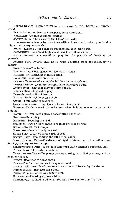DOUBLE DUMMY--A game of Whist by two players, each having an exposed hand.

Echo—Asking for trumps in response to partner's call.

Estantish—To gain complete control.

Eldest Hand—The player to the left of the dealer.

FINESSE—An endeavor to win a trick with a lower card, when you hold a higher not in sequence with it.

Foace—Leading a card that an opponent must trump to win.

FOURCHETTE-Card next higher and next lower than the one led.

FALSE CARD—An unconventional play for the purpose of deceiving opponents. \*

Fourth Best—Fourth card as to rank, counting from and including the highest.

FIRST HAND-The leader.

Honoas--Ace, King, Queen and Knave of trumps.

Holding Up—Refusing to take a trick.

Long Suit--A suit of four or more.

LEADING THROUGH—Leading the left hand adversary's suit.

Leading Up To—Leading the right hand adversary's suit.

Losing Card—One that may not take a trick.

Master Card—Highest in play. •

Plain Suit—A suit not trumps.

Points—Each trick in excess of six.

Quart—Four cards in sequence.

Quart Major—Ace, King, Quetn, Knave of any suit.

Revoke—Playing a card of another suit when holding one or more of tlie suit led.

Round—The four cards played constituting one trick.

RUFFING—Trumping.

Re-entry-Securing the lead.

Sequence—Two or more cards in regular order as to rank.

Signal—To ask for trumps.

SINGLETON-One card only in a suit.

SHORT SUIT—A suit of three cards or less.

Second Hand—The hand to the left of the leader.

Single Discard Call—The discard of eight or higher card of a suit not yet in play, is a request for trumps.

STRENGTHENING CARD—A medium high card led to partner's supposed suit. Thian Hand-The leader's partner.

Throwing the Lead—Purposely playing a losing card, that you may not re main in the lead.

Tierce—Sequence of three cards.

TRICK-The four cards constituting one round.

Trumps—All the cards of the same suit as the card turned by the dealer.

TENACE MAJOR—Best and third best.

TENACE MINOR-Second and fourth best.

UNDERPLAY-Refusing to take a trick.

v

YARBOROUGH-A hand in which all the cards are smaller than the Ten.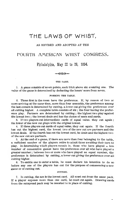### THE LAWS OF WHIST.

### AS REVISED AND ADOPTED AT THE

### POURTM A/nERlCAN WHIST CONGRESS,

Philadelphia, May 22 to 26, 1894.

... ... THE GAME.

1. A game consists of seven points, each trick above six counting one. The value of the game is determined by deducting the losers' score from seven.

#### FORMING THE TABLE.

2. Those first in the room have the preference. If, by reason of two or more arriving at the same time, more than four assemble, the preference among the last comers is determined by cutting, a lower cut giving the preference over all cutting higher. A complete table consists of six ; the four having the prefer ence play. Partners are determined by cutting ; the highest two play against the lowest two ; the lowest deals and has the choice of seats and cards.

3. If two players cut intermediate cards of equal value, they cut again ; the lower of the new cut plays with the original lowest.

4. If three players cut cards of equal value, they cut again. If the fourth has cut the highest card, the lowest two of the new cut are partners and the lowest deals. If the fourth has cut the lowest card, he deals and the highest two of the new cut are partners.

5. At the end of a game, if there are more than four belonging to the table, a sufficient number of the players retire to admit those awaiting their turn to play. In determining which players remain in, those who have played a, less number of consecutive games have the preference over all who have played a greater number ; between two or more who have played an equal number, 'the preference is determined by cutting, a lower cut giving the preference over all cutting higher.

6. To entitle one to enter a table, he must declare his intention to do so before any one of the players has cut for the purpose of commencing a new game or of cutting out.

#### CUTTING.

 $\ddot{\tau}$ . In cutting, the ace is the lowest card. All must cut from the same pack. If a player exposes more than one card, he must cut again. Drawing cards from the outspread pack may be resorted to in place of cutting.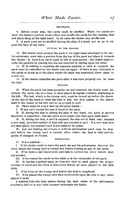#### SHUFFLING.

8. Before every deal, the cards must be shuffled. When two packs are used, the dealer's partner must collect and shuffle the cards for the ensuing deal and place them at his right hand. In all cases the dealer may shuffle last.

9. A pack must not be shuffled during the play of a hand, nor so as to ex pose the face of any card.

#### CUTTING TO THE DEALER.

10. The dealer must present the pack to his right hand adversary to be cut the adversary must take a portion from the top of the pack and place it towards the dealer ; at least four cards must be left in each packet ; the dealer must re unite the packets by placing the one not removed in cutting upon the other.

11. If, in cutting or reuniting the separate packets, a card is exposed, the pack must be reshuffled by the dealer and cut again ; if there is any confusion of the cards or doubt as to the place where the pack was separated, there must be a new cut.

12. If the dealer reshuffles the pack after it has been properly cut, he loses his deal.

### DEALING.

13. When the pack has been properly cut and reunited, the dealer must dis tribute the cards, one at a time, to each player in regular rotation, beginning at his left. The last, which is the trump card, must be turned up before the dealer. At the end of the hand or when the deal is lost, the deal passes to the player next to the dealer on his left, and so on to each in turn.

14. There must be a new deal by the same dealer :—

I. If any card except the last is faced in the pack.

II. If, during the deal or during the play of the hand, the pack is proved incorrect or imperfect ; but any prior score made with that pack shall stand.

15. If, during the deal, a card is exposed, the side not in fault may demand a new deal, provided neither of that side has touched a card. If a new deal does not take place, the exposed card is not liable to be called,

16. Any one dealing out of turn or with his adversaries' pack may be stop ped before the trump card is turned, after which, the deal is valid and the packs, if changed, so remain.

MISDEALING.

 $17.$  It is a misdeal :-

I. If the dealer omits to have the pack cut and his adversaries discover the error before the trump card is turned and before looking at any of the cards.

n. If he deals a card incorrectly and fails to correct the error before deal ing another.

III. If he counts the cards on the table or in the remainder of the pack.

IV. If, having a perfect pack, he does not deal to each player the proper number of cards and the error is discovered before all have played to the first trick.

V. If he looks at the trump card before the deal is completed.

VI. If he places the trump card face downwards upon his own or any other player's cards.

A misdeal loses the deal, unless, during the deal, either of the adversaries touches a card or in any other manner interrupts the dealer.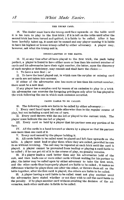### THE TRUMP CARD.

18. The dealer must leave the trump card face upwards on the table until it is his turn to play to the first trick ; if it is left on the table until after the second trick has been turned and quitted, it is liable to be called. After it has been lawfully taken up, it must not be named and any player naming it is liable to have his highest or lowest trump called by either adversary. A player may, however, ask what the trump suit is.

#### IRREGULARITIES IN THE HANDS.

19. If, at any time after all have played to the first trick, the pack being perfect, a player is found to have either more or less than his correct number of cards and his adversaries have their right number, the latter, upon the discovery of such surplus or deficiency, may consult and shall have the choice :

I. To have a new deal ; or

II. To have the hand played out, in which case the surplus or missing card or cards are not taken into account.

If either of the adversaries also has more or less than his correct number, there must be a new deal.

If any player has a surplus card by reason of an omission to play to a trick his adversaries can exercise the foregoing privileges only after he has played to the trick following the one in which such omission occurred.

### CARDS LIABLE TO BE CALLED.

20. The following cards are liable to be called by either adversary :-

I. Every card faced upon the table otherwise than in the regular course of play, but not including a card led out of turn.

n. Every card thrown with the one led or played to the current trick. The player must indicate the one led or played.

III. Every card so held by a player that his partner sees any portion of its face.

IV. All the cards in a hand lowered or shown by a player so that his partner sees more than one card of it.

v. Every card named by the player holding it.

21. All cards liable to be called must be placed and left face upwards on the table. A player must lead or play them when they are called, provided he can do so without revoking. The call may be repeated at each trick until the card is played. A player cannot be prevented from leading or playing a card liable to be called ; if he can get rid of it in the course of play, no penalty remains.

22. If a player leads a card better than any his adversaries hold of the suit, and then leads one or more other cards without waiting for his partner to play, the latter may be called upon by either adversary to take the first trick, and the other cards thus improperly played are liable to be called , it makes no difference whether he plays them one after the other, or throws them all on the table together, after the first card is played, the others are liable to be called.

33. A player having <sup>a</sup> card liable to be cajled must not play another until the adversaries have stated whether or not they wish to call the card liable to the penalty. If he plays another card without awaiting the decision of the adversaries, such other card also is liable to be called.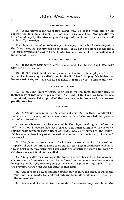#### LEADING OUT OF TURN.

24. If any player leads out of turn, a suit may be called from him or his partner the first time it is the turn of either of them to lead. The penalty can he enforced only by the adversary on the right of the player from whom a sui\* can lawuflly be-ealled.

If a player, so called on to lead a suit, has none of It, or if all have played to the false lead, no penalty can be enforced. If all have not played to the trick, the cards erroneously played to such false lead are not liable to be called and must be taken back.

#### PLAYING OUT OF TURN.

25. If the third hand plays before the second, the fourth band also may play before the second.

26. If the third hand has not played, and the fourth hand plays before the Second, the latter may be called upon by the third hand to play his highest or lowest card of the suit led or, if he has none, to trump or not to trump the trick

#### ABANDONED HANDS.

 $27.$  If all four players throw their cards on the table, face upwards, no further play of that hand is permitted. The result of the hand, as then claimed or admitted, is established, provided that, if a revoke is discovered, the revoke penalty attaches.

#### REVOKING.

28. A revoke is a renounce in error not corrected in time. A player rehonnees in error, when, holding one or more cards of the suit led, he plays a card of a different suit.

A renounce in error may be corrected by the player making it, before the trick in which it occurs has been turned and quitted, unless either he or his partner, whether in his right turn or otherwise, has led or played to the follow ing trick, or unless his partner has asked whether or not he has any of the suit renounced.

 $29.$  If a player corrects his mistake in time to save a revoke. the card improperly played by him is liable to he called ; any player or players, who have played after him, may withdraw their cards and substitute others : the cards so Avithdrawn are not liable to be called.

30. The penalty for revoking is the transfer of two tricks from the revoking side to their adversaries ; it can be enforced for as many revokes as occur during the hand. The revoking side can not win the game in that hand ; if both sides revoke, neither can win the game in that hand,

31. The revoking player and his partner may require the hand, in which the revoke has been made, to be played out, and score all points made by them up to the score of six.

32. At the end of a hand, the claimants of a revoke may search all the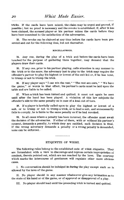tricks. If the cards have been mixed, the claim may be urged and proved, if possible \ but no proof is necessary and the revoke is established, if, after it has been claimed, the accused player or his partner mixes the cards before they have been' examined to the satisfaction of the adversaries.

33. The revoke can be claimed at any time before the cards have been pre sented and cut for the following deal, but not thereafter.

#### MISCELLANEOUS.

34. Any one, during the play of a trick and before the cards have been touched for the purpose of gathering them together, may demand that the players draw their cards.

35. If any one, prior to his partner playing, calls attention in any manner to the trick or to the score, the adversary last to play to the trick may require the offender's partner to play his highest or lowest of the suit led or, if he has none, to trump or not to trump the trick.

36. If any player says " <sup>I</sup> can win the rest," " The rest are ours," " We have the game," or words to that effect, his partner's cards must be laid upon the table and are liable to be called.

37. When a trick has been turned and quitted, it must not again be seen until after the hand has been played. A violation of this law subjects the offender's side to the same penalty as in case of a lead out of turn.

38. If a player is lawfully called upon to play the highest or lowest of a suit, or to trump or not to trump a trick, or to lead a suit, and unnecessarily fails to comply, he is liable to the same penalty as if he had revoked.

39. In all cases where a penalty has been incurred, the offender must await the decision of the adversaries. If either of them, with or without his partner's consent, demands a penalty, to which they are entitled, such decision is final. If the wrong adversary demands a penalty or a wrong penalty is demanded, none can be enforced.

### ETIQUETTE OF WHIST.

The following rules belong to the established code of whist etiquette. They are formulated with a view to discourage and repress certain improprieties of conduct, therein pointed out, which are not reached by the laws. The courtesy which marks the intercourse of gentlemen will regulate other more obvious cases.

I. No conversation should be indulged in during the play except such as is allowed by the laws of the game.

II. No player should in any manner whatsoever give any intimation as to the state of his hand or of the game, or of approval or disapproval of a  $_{\rm{2day}}$ .

III. No player should lead until the preceding trick is turned and quitted.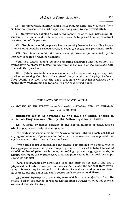IV. No player should, after having led a winning card, draw a card from his hand for another lead until his partner has played to the current trick.

V. No player should play a card in any manner so as to call particular at tention to it, nor should he demand that the cards be placed in order to attract the attention of his partner.

VI. No player should purposely incur a penalty because he is willing to pay it, nor should he make a second revoke in order to conceal one previously made.

VII. No player should take advantage of information imparted by his partner through a breach of etiquette.

VIII. No player should object to referring a disputed question of fact to a bystander who professes himself uninterested in the result of the game and able to decide the question.

IX. Bystanders should not in any manner call attention to or give any inti mation concerning the play or the state of the game, during the play of a hand. They should not look over the hand of a player without his permission ; nor should they walk around the table to look at the different hands.

**Contract** 

### THE LAWS OF DUPLICATE WHIST,

AS ADOPTED BY THE FOURTH AMERICAN WHIST CONGRESS, HELD AT PHILADEL-PHIA, MAY 22-26, 1894.

### Duplicate Whist Is governed by the laws of Whist, except in so far as they are modified by the following Special Laws:

(a) A game or match consists of any agreed number of deals, each of which is played once only by each player.

The contesting teams must be of the same number, but may each consist of any agreed number of pairs, one-half of which, or as near thereto as possible, sit north and south, the other half east and west.

Every trick taken is scored, and the match is determined by a comparison of the aggregate scores won by the competing teams. In case the teams consist of an odd number of pairs, each team, in making up such aggregate, adds, as though won by it, the average score of all the pairs seated in the positions opposite to its odd pair.

Each side keeps its own score, and it is the duty of the north and south players at each table to compare the scores there made and see that they corres pond. In case they fail to perform this duty, the east and west scores are taken as correct, and the north and south scores made to correspond thereto.

In a match between two teams, the team which wins a majority of all the tricks, scores the match as won by that number of tricks which it has taken in excess of one-half the total.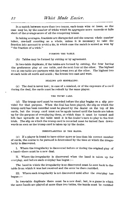In a match between more than two teams, each team wins or loses, as the case may be, by the number of tricks which its aggregate score exceeds or falls short of the average score of all the competing teams.

In taking averages, fractions are disregarded and the nearest whole number taken, one-half counting as a whole, unless it is necessary to take the fraction into account to avoid a tie, in which case the match is scored as won by " the fraction of a trick."

### FORMING THE TABLE.

(6) Tables may be formed by cutting or by agreement.

In two-table duplicate, if the tables are formed by cutting, the four having: the preference play at one table, and the next four at the other. The highest two at one table are partners with the lowest two at the other. The highest two at each table sit north and south ; the lowest two east and west.

#### nEALING AND MISDEALING.

(c) The deal is never lost ; in case of a misdeal, or of the exposure of a card during the deal, the cards must be redealt by the same player,

#### THE TRUMP CARD.

(d) The trump card must be recorded before the play begins on a slip provided for that purpose. When the deal has been played, the slip on which the trump card has been recorded must be placed by the dealer on the top of his cards, but the trump card must not be again turned until the hands are taken up for the purpose of overplaying them, at which time it must be turned and left face upwards on the table until it is the dealer's turn to play to the first trick. The slip on which the trump card is recorded must be turned face downwards as soon as the trump card is taken up by the dealer,

### IRREGULARITIES IN THE HANDS.

 $(e)$  If a player is found to have either more or less than his correct number of cards, the course to be pursued is determined by the time at which the irregularity is discovered.

I. Where the irregularity is discovered before or during the original play of a hand—there must be a new deal.

II. Where the irregularity is discovered when the hand is taken up for overplay, and before such overplay has begun :—

The hand in which the irregularity is so discovered must be sent back to the table from which it was last received and the error be there rectified.

III. Where such irregularity is not discovered until after the overplay has begun :

In two-table duplicate there must be a new deal ; but, in a game in which the same hands are played at more than two tables, the hands must be rectified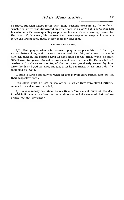as above, and then passed to the next table without overplay at the table at which the error was discovered, in which case, if a player had a deficiency and his adversary the corresponding surplus, each team takes the average score for that deal, if, however, his partner had the corresponding surplus, his team is given the lowest score made at any table for that deal.

### PLAYING THE CARDS.

 $(f)$  Each player, when it is his turn to play, must place his card face upwards, before him, and towards the center of the table, and allow it to remain upon the table in this position until all have played to the trick, when he must turn it over and place it face downwards, and nearer to himself, placing each suc cessive card, as he turns it, on top of the last card previously turned by him. After he has played his card, and also after he has turned it, he must quit it by removing his hand,

A trick is turned and quitted when all four players have turned and quitted their respective cards.

The cards must be left in the order in which they were played until the scores for the deal are recorded,

 $\langle q \rangle$  A revoke may be claimed at any time before the last trick of the deal in which it occurs has been turned and quitted and the scores of that deal re corded, but not thereafter.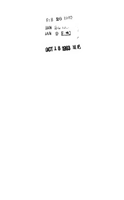|                 | $F: B$ 26 1902 |    |
|-----------------|----------------|----|
| $JAN$ $24$ $10$ |                | Ĵ. |
|                 | JAN 9 REL      |    |
|                 |                | ÷  |

## OCT 18 1963 ME